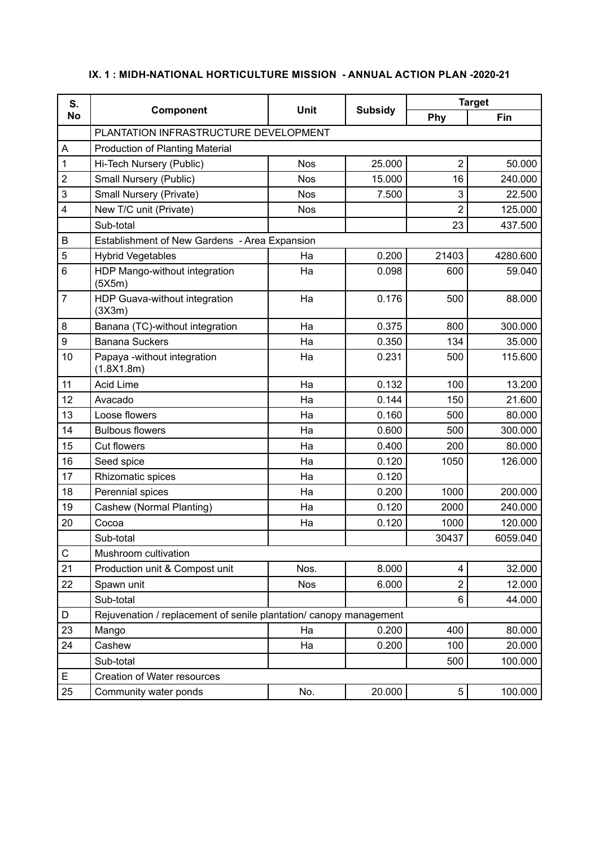| S.<br><b>No</b>  | Component                                                          |             |                | <b>Target</b>  |          |  |
|------------------|--------------------------------------------------------------------|-------------|----------------|----------------|----------|--|
|                  |                                                                    | <b>Unit</b> | <b>Subsidy</b> | Phy            | Fin      |  |
|                  | PLANTATION INFRASTRUCTURE DEVELOPMENT                              |             |                |                |          |  |
| A                | Production of Planting Material                                    |             |                |                |          |  |
| 1                | Hi-Tech Nursery (Public)                                           | <b>Nos</b>  | 25.000         | $\overline{2}$ | 50.000   |  |
| $\boldsymbol{2}$ | Small Nursery (Public)                                             | <b>Nos</b>  | 15.000         | 16             | 240.000  |  |
| 3                | Small Nursery (Private)                                            | <b>Nos</b>  | 7.500          | 3              | 22.500   |  |
| $\overline{4}$   | New T/C unit (Private)                                             | <b>Nos</b>  |                | $\overline{2}$ | 125.000  |  |
|                  | Sub-total                                                          |             |                | 23             | 437.500  |  |
| B                | Establishment of New Gardens - Area Expansion                      |             |                |                |          |  |
| $\sqrt{5}$       | <b>Hybrid Vegetables</b>                                           | Ha          | 0.200          | 21403          | 4280.600 |  |
| $6\phantom{1}$   | HDP Mango-without integration<br>(5X5m)                            | Ha          | 0.098          | 600            | 59.040   |  |
| $\overline{7}$   | HDP Guava-without integration<br>(3X3m)                            | Ha          | 0.176          | 500            | 88.000   |  |
| 8                | Banana (TC)-without integration                                    | Ha          | 0.375          | 800            | 300.000  |  |
| $\boldsymbol{9}$ | <b>Banana Suckers</b>                                              | Ha          | 0.350          | 134            | 35.000   |  |
| 10               | Papaya -without integration<br>(1.8X1.8m)                          | Ha          | 0.231          | 500            | 115.600  |  |
| 11               | <b>Acid Lime</b>                                                   | Ha          | 0.132          | 100            | 13.200   |  |
| 12               | Avacado                                                            | Ha          | 0.144          | 150            | 21.600   |  |
| 13               | Loose flowers                                                      | Ha          | 0.160          | 500            | 80.000   |  |
| 14               | <b>Bulbous flowers</b>                                             | Ha          | 0.600          | 500            | 300.000  |  |
| 15               | <b>Cut flowers</b>                                                 | Ha          | 0.400          | 200            | 80.000   |  |
| 16               | Seed spice                                                         | Ha          | 0.120          | 1050           | 126.000  |  |
| 17               | Rhizomatic spices                                                  | Ha          | 0.120          |                |          |  |
| 18               | Perennial spices                                                   | Ha          | 0.200          | 1000           | 200.000  |  |
| 19               | Cashew (Normal Planting)                                           | Ha          | 0.120          | 2000           | 240.000  |  |
| 20               | Cocoa                                                              | Ha          | 0.120          | 1000           | 120.000  |  |
|                  | Sub-total                                                          |             |                | 30437          | 6059.040 |  |
| ${\bf C}$        | Mushroom cultivation                                               |             |                |                |          |  |
| 21               | Production unit & Compost unit                                     | Nos.        | 8.000          | $\overline{4}$ | 32.000   |  |
| 22               | Spawn unit                                                         | Nos         | 6.000          | $\overline{2}$ | 12.000   |  |
|                  | Sub-total                                                          |             |                | 6              | 44.000   |  |
| D                | Rejuvenation / replacement of senile plantation/ canopy management |             |                |                |          |  |
| 23               | Mango                                                              | Ha          | 0.200          | 400            | 80.000   |  |
| 24               | Cashew                                                             | Ha          | 0.200          | 100            | 20.000   |  |
|                  | Sub-total                                                          |             |                | 500            | 100.000  |  |
| E                | Creation of Water resources                                        |             |                |                |          |  |
| 25               | Community water ponds                                              | No.         | 20.000         | 5              | 100.000  |  |

## **IX. 1 : MIDH-NATIONAL HORTICULTURE MISSION - ANNUAL ACTION PLAN -2020-21**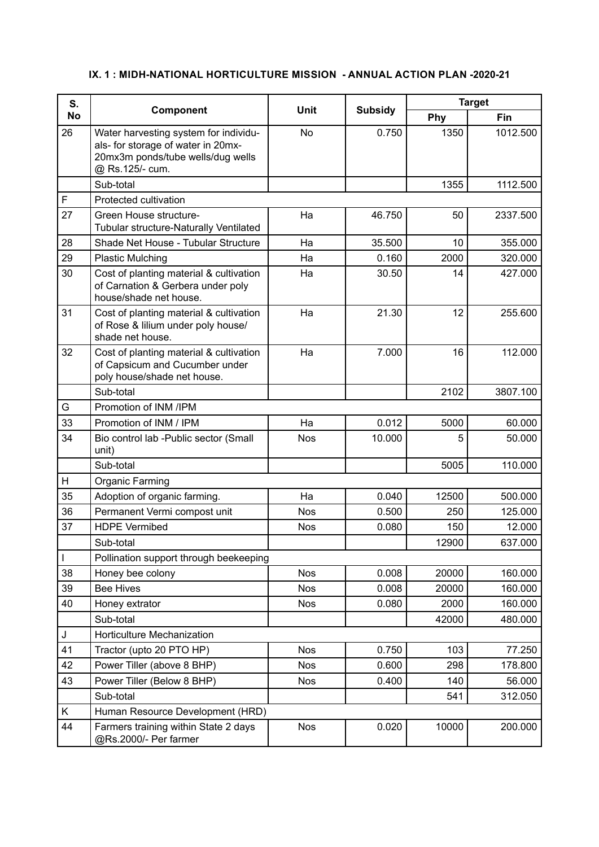## **IX. 1 : MIDH-NATIONAL HORTICULTURE MISSION - ANNUAL ACTION PLAN -2020-21**

| S.<br><b>No</b> | Component                                                                                                                           | Unit       | <b>Subsidy</b> | <b>Target</b> |          |
|-----------------|-------------------------------------------------------------------------------------------------------------------------------------|------------|----------------|---------------|----------|
|                 |                                                                                                                                     |            |                | Phy           | Fin      |
| 26              | Water harvesting system for individu-<br>als- for storage of water in 20mx-<br>20mx3m ponds/tube wells/dug wells<br>@ Rs.125/- cum. | No         | 0.750          | 1350          | 1012.500 |
|                 | Sub-total                                                                                                                           |            |                | 1355          | 1112.500 |
| F               | Protected cultivation                                                                                                               |            |                |               |          |
| 27              | Green House structure-<br>Tubular structure-Naturally Ventilated                                                                    | Ha         | 46.750         | 50            | 2337.500 |
| 28              | Shade Net House - Tubular Structure                                                                                                 | Ha         | 35.500         | 10            | 355.000  |
| 29              | <b>Plastic Mulching</b>                                                                                                             | Ha         | 0.160          | 2000          | 320.000  |
| 30              | Cost of planting material & cultivation<br>of Carnation & Gerbera under poly<br>house/shade net house.                              | Ha         | 30.50          | 14            | 427.000  |
| 31              | Cost of planting material & cultivation<br>of Rose & lilium under poly house/<br>shade net house.                                   | Ha         | 21.30          | 12            | 255.600  |
| 32              | Cost of planting material & cultivation<br>of Capsicum and Cucumber under<br>poly house/shade net house.                            | Ha         | 7.000          | 16            | 112.000  |
|                 | Sub-total                                                                                                                           |            |                | 2102          | 3807.100 |
| G               | Promotion of INM /IPM                                                                                                               |            |                |               |          |
| 33              | Promotion of INM / IPM                                                                                                              | Ha         | 0.012          | 5000          | 60.000   |
| 34              | Bio control lab - Public sector (Small<br>unit)                                                                                     | <b>Nos</b> | 10.000         | 5             | 50.000   |
|                 | Sub-total                                                                                                                           |            |                | 5005          | 110.000  |
| H               | <b>Organic Farming</b>                                                                                                              |            |                |               |          |
| 35              | Adoption of organic farming.                                                                                                        | Ha         | 0.040          | 12500         | 500.000  |
| 36              | Permanent Vermi compost unit                                                                                                        | <b>Nos</b> | 0.500          | 250           | 125.000  |
| 37              | <b>HDPE Vermibed</b>                                                                                                                | <b>Nos</b> | 0.080          | 150           | 12.000   |
|                 | Sub-total                                                                                                                           |            |                | 12900         | 637.000  |
| $\overline{1}$  | Pollination support through beekeeping                                                                                              |            |                |               |          |
| 38              | Honey bee colony                                                                                                                    | <b>Nos</b> | 0.008          | 20000         | 160.000  |
| 39              | <b>Bee Hives</b>                                                                                                                    | <b>Nos</b> | 0.008          | 20000         | 160.000  |
| 40              | Honey extrator                                                                                                                      | <b>Nos</b> | 0.080          | 2000          | 160.000  |
|                 | Sub-total                                                                                                                           |            |                | 42000         | 480.000  |
| J               | Horticulture Mechanization                                                                                                          |            |                |               |          |
| 41              | Tractor (upto 20 PTO HP)                                                                                                            | <b>Nos</b> | 0.750          | 103           | 77.250   |
| 42              | Power Tiller (above 8 BHP)                                                                                                          | <b>Nos</b> | 0.600          | 298           | 178.800  |
| 43              | Power Tiller (Below 8 BHP)                                                                                                          | <b>Nos</b> | 0.400          | 140           | 56.000   |
|                 | Sub-total                                                                                                                           |            |                | 541           | 312.050  |
| K.              | Human Resource Development (HRD)                                                                                                    |            |                |               |          |
| 44              | Farmers training within State 2 days<br>@Rs.2000/- Per farmer                                                                       | Nos        | 0.020          | 10000         | 200.000  |